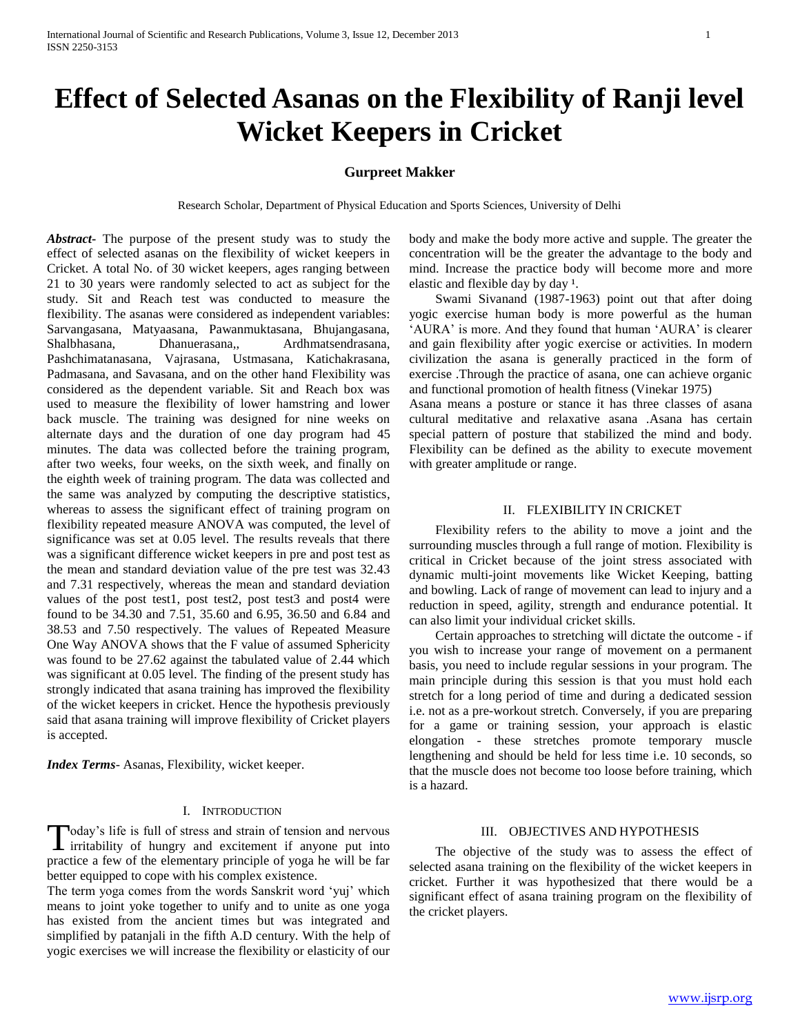# **Effect of Selected Asanas on the Flexibility of Ranji level Wicket Keepers in Cricket**

## **Gurpreet Makker**

Research Scholar, Department of Physical Education and Sports Sciences, University of Delhi

*Abstract***-** The purpose of the present study was to study the effect of selected asanas on the flexibility of wicket keepers in Cricket. A total No. of 30 wicket keepers, ages ranging between 21 to 30 years were randomly selected to act as subject for the study. Sit and Reach test was conducted to measure the flexibility. The asanas were considered as independent variables: Sarvangasana, Matyaasana, Pawanmuktasana, Bhujangasana, Shalbhasana, Dhanuerasana,, Ardhmatsendrasana, Pashchimatanasana, Vajrasana, Ustmasana, Katichakrasana, Padmasana, and Savasana, and on the other hand Flexibility was considered as the dependent variable. Sit and Reach box was used to measure the flexibility of lower hamstring and lower back muscle. The training was designed for nine weeks on alternate days and the duration of one day program had 45 minutes. The data was collected before the training program, after two weeks, four weeks, on the sixth week, and finally on the eighth week of training program. The data was collected and the same was analyzed by computing the descriptive statistics, whereas to assess the significant effect of training program on flexibility repeated measure ANOVA was computed, the level of significance was set at 0.05 level. The results reveals that there was a significant difference wicket keepers in pre and post test as the mean and standard deviation value of the pre test was 32.43 and 7.31 respectively, whereas the mean and standard deviation values of the post test1, post test2, post test3 and post4 were found to be 34.30 and 7.51, 35.60 and 6.95, 36.50 and 6.84 and 38.53 and 7.50 respectively. The values of Repeated Measure One Way ANOVA shows that the F value of assumed Sphericity was found to be 27.62 against the tabulated value of 2.44 which was significant at 0.05 level. The finding of the present study has strongly indicated that asana training has improved the flexibility of the wicket keepers in cricket. Hence the hypothesis previously said that asana training will improve flexibility of Cricket players is accepted.

*Index Terms*- Asanas, Flexibility, wicket keeper.

#### I. INTRODUCTION

oday's life is full of stress and strain of tension and nervous Today's life is full of stress and strain of tension and nervous<br>irritability of hungry and excitement if anyone put into practice a few of the elementary principle of yoga he will be far better equipped to cope with his complex existence.

The term yoga comes from the words Sanskrit word 'yuj' which means to joint yoke together to unify and to unite as one yoga has existed from the ancient times but was integrated and simplified by patanjali in the fifth A.D century. With the help of yogic exercises we will increase the flexibility or elasticity of our body and make the body more active and supple. The greater the concentration will be the greater the advantage to the body and mind. Increase the practice body will become more and more elastic and flexible day by day <sup>1</sup>.

 Swami Sivanand (1987-1963) point out that after doing yogic exercise human body is more powerful as the human 'AURA' is more. And they found that human 'AURA' is clearer and gain flexibility after yogic exercise or activities. In modern civilization the asana is generally practiced in the form of exercise .Through the practice of asana, one can achieve organic and functional promotion of health fitness (Vinekar 1975)

Asana means a posture or stance it has three classes of asana cultural meditative and relaxative asana .Asana has certain special pattern of posture that stabilized the mind and body. Flexibility can be defined as the ability to execute movement with greater amplitude or range.

#### II. FLEXIBILITY IN CRICKET

 Flexibility refers to the ability to move a joint and the surrounding muscles through a full range of motion. Flexibility is critical in Cricket because of the joint stress associated with dynamic multi-joint movements like Wicket Keeping, batting and bowling. Lack of range of movement can lead to injury and a reduction in speed, agility, strength and endurance potential. It can also limit your individual cricket skills.

 Certain approaches to stretching will dictate the outcome - if you wish to increase your range of movement on a permanent basis, you need to include regular sessions in your program. The main principle during this session is that you must hold each stretch for a long period of time and during a dedicated session i.e. not as a pre-workout stretch. Conversely, if you are preparing for a game or training session, your approach is elastic elongation - these stretches promote temporary muscle lengthening and should be held for less time i.e. 10 seconds, so that the muscle does not become too loose before training, which is a hazard.

#### III. OBJECTIVES AND HYPOTHESIS

 The objective of the study was to assess the effect of selected asana training on the flexibility of the wicket keepers in cricket. Further it was hypothesized that there would be a significant effect of asana training program on the flexibility of the cricket players.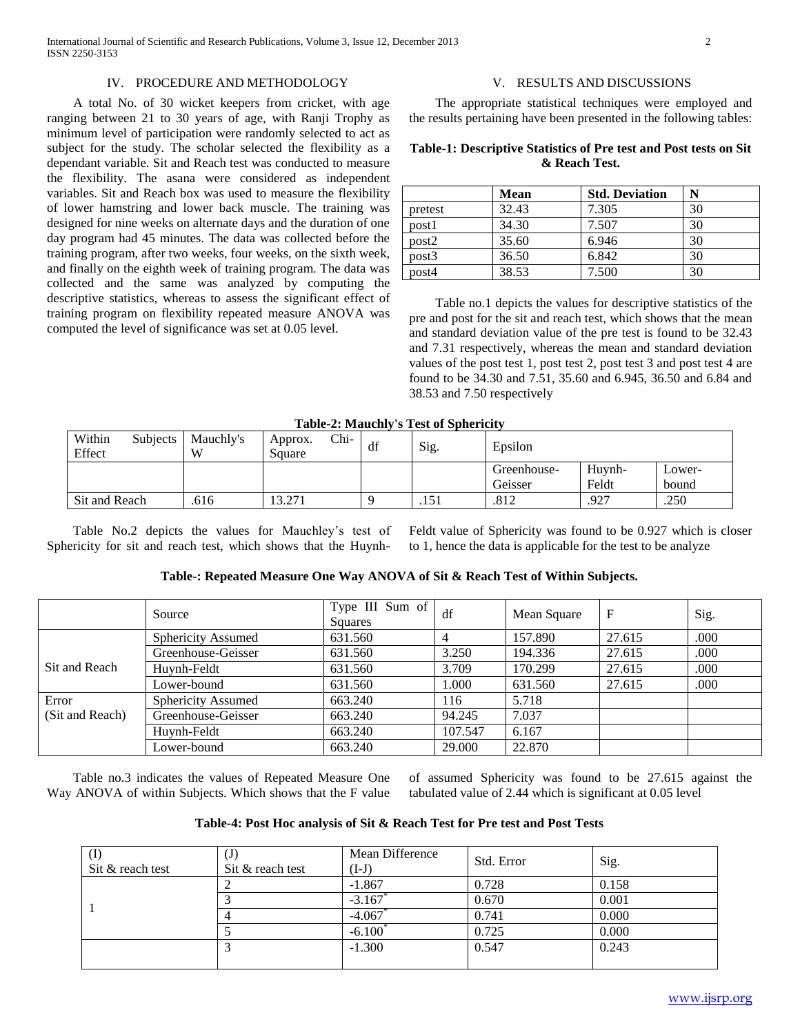## IV. PROCEDURE AND METHODOLOGY

 A total No. of 30 wicket keepers from cricket, with age ranging between 21 to 30 years of age, with Ranji Trophy as minimum level of participation were randomly selected to act as subject for the study. The scholar selected the flexibility as a dependant variable. Sit and Reach test was conducted to measure the flexibility. The asana were considered as independent variables. Sit and Reach box was used to measure the flexibility of lower hamstring and lower back muscle. The training was designed for nine weeks on alternate days and the duration of one day program had 45 minutes. The data was collected before the training program, after two weeks, four weeks, on the sixth week, and finally on the eighth week of training program. The data was collected and the same was analyzed by computing the descriptive statistics, whereas to assess the significant effect of training program on flexibility repeated measure ANOVA was computed the level of significance was set at 0.05 level.

## V. RESULTS AND DISCUSSIONS

 The appropriate statistical techniques were employed and the results pertaining have been presented in the following tables:

## **Table-1: Descriptive Statistics of Pre test and Post tests on Sit & Reach Test.**

|         | <b>Mean</b> | <b>Std. Deviation</b> | N  |
|---------|-------------|-----------------------|----|
| pretest | 32.43       | 7.305                 | 30 |
| post1   | 34.30       | 7.507                 | 30 |
| post2   | 35.60       | 6.946                 | 30 |
| post3   | 36.50       | 6.842                 | 30 |
| post4   | 38.53       | 7.500                 | 30 |

 Table no.1 depicts the values for descriptive statistics of the pre and post for the sit and reach test, which shows that the mean and standard deviation value of the pre test is found to be 32.43 and 7.31 respectively, whereas the mean and standard deviation values of the post test 1, post test 2, post test 3 and post test 4 are found to be 34.30 and 7.51, 35.60 and 6.945, 36.50 and 6.84 and 38.53 and 7.50 respectively

## **Table-2: Mauchly's Test of Sphericity**

|                  | Table-4. Magdiny 3 Test of Billetten |                |                   |      |    |      |             |        |        |  |
|------------------|--------------------------------------|----------------|-------------------|------|----|------|-------------|--------|--------|--|
| Within<br>Effect | Subjects                             | Mauchly's<br>W | Approx.<br>Square | Chi- | df | Sig. | Epsilon     |        |        |  |
|                  |                                      |                |                   |      |    |      | Greenhouse- | Huvnh- | Lower- |  |
|                  |                                      |                |                   |      |    |      | Geisser     | Feldt  | bound  |  |
| Sit and Reach    |                                      | 616            | 13.271            |      |    | .151 | .812        | .927   | .250   |  |

 Table No.2 depicts the values for Mauchley's test of Sphericity for sit and reach test, which shows that the HuynhFeldt value of Sphericity was found to be 0.927 which is closer to 1, hence the data is applicable for the test to be analyze

|                 | Source                    | Type III Sum of<br><b>Squares</b> | df      | Mean Square | F      | Sig. |
|-----------------|---------------------------|-----------------------------------|---------|-------------|--------|------|
|                 | <b>Sphericity Assumed</b> | 631.560                           |         | 157.890     | 27.615 | .000 |
|                 | Greenhouse-Geisser        | 631.560                           | 3.250   | 194.336     | 27.615 | .000 |
| Sit and Reach   | Huynh-Feldt               | 631.560                           | 3.709   | 170.299     | 27.615 | .000 |
|                 | Lower-bound               | 631.560                           | 1.000   | 631.560     | 27.615 | .000 |
| Error           | <b>Sphericity Assumed</b> | 663.240                           | 116     | 5.718       |        |      |
| (Sit and Reach) | Greenhouse-Geisser        | 663.240                           | 94.245  | 7.037       |        |      |
|                 | Huynh-Feldt               | 663.240                           | 107.547 | 6.167       |        |      |
|                 | Lower-bound               | 663.240                           | 29.000  | 22.870      |        |      |

 Table no.3 indicates the values of Repeated Measure One Way ANOVA of within Subjects. Which shows that the F value of assumed Sphericity was found to be 27.615 against the tabulated value of 2.44 which is significant at 0.05 level

| Table-4: Post Hoc analysis of Sit & Reach Test for Pre test and Post Tests |  |  |  |  |  |  |  |  |  |  |
|----------------------------------------------------------------------------|--|--|--|--|--|--|--|--|--|--|
|----------------------------------------------------------------------------|--|--|--|--|--|--|--|--|--|--|

| $\left( \Gamma \right)$<br>Sit & reach test | U.<br>Sit & reach test | Mean Difference<br>$(I-J)$ | Std. Error | Sig.  |
|---------------------------------------------|------------------------|----------------------------|------------|-------|
|                                             |                        | $-1.867$                   | 0.728      | 0.158 |
|                                             |                        | $-3.167$                   | 0.670      | 0.001 |
|                                             |                        | $-4.067$                   | 0.741      | 0.000 |
|                                             |                        | $-6.100^{\circ}$           | 0.725      | 0.000 |
|                                             |                        | $-1.300$                   | 0.547      | 0.243 |
|                                             |                        |                            |            |       |